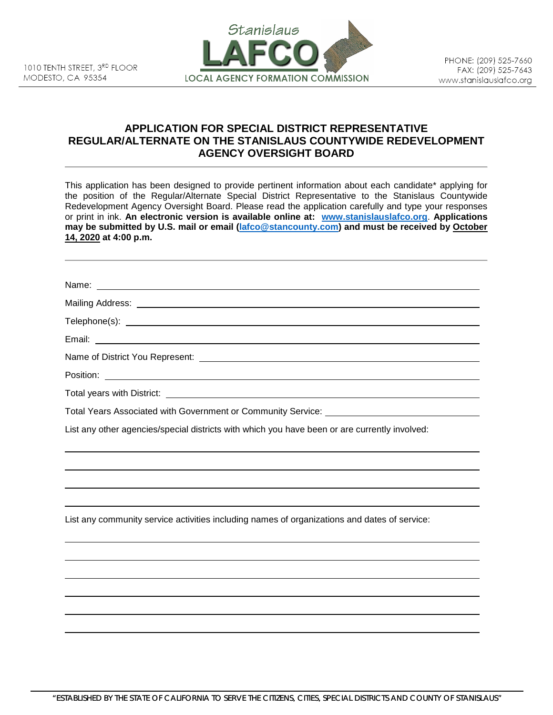

## **APPLICATION FOR SPECIAL DISTRICT REPRESENTATIVE REGULAR/ALTERNATE ON THE STANISLAUS COUNTYWIDE REDEVELOPMENT AGENCY OVERSIGHT BOARD**

This application has been designed to provide pertinent information about each candidate\* applying for the position of the Regular/Alternate Special District Representative to the Stanislaus Countywide Redevelopment Agency Oversight Board. Please read the application carefully and type your responses or print in ink. **An electronic version is available online at: [www.stanislauslafco.org](http://www.stanislauslafco.org/)**. **Applications may be submitted by U.S. mail or email [\(lafco@stancounty.com\)](mailto:lafco@stancounty.com) and must be received by October 14, 2020 at 4:00 p.m.**

| Name: Name: Name: Name: Name: Name: Name: Name: Name: Name: Name: Name: Name: Name: Name: Name: Name: Name: Name: Name: Name: Name: Name: Name: Name: Name: Name: Name: Name: Name: Name: Name: Name: Name: Name: Name: Name: |
|-------------------------------------------------------------------------------------------------------------------------------------------------------------------------------------------------------------------------------|
|                                                                                                                                                                                                                               |
|                                                                                                                                                                                                                               |
|                                                                                                                                                                                                                               |
|                                                                                                                                                                                                                               |
|                                                                                                                                                                                                                               |
|                                                                                                                                                                                                                               |
|                                                                                                                                                                                                                               |
| List any other agencies/special districts with which you have been or are currently involved:                                                                                                                                 |
|                                                                                                                                                                                                                               |
| List any community service activities including names of organizations and dates of service:                                                                                                                                  |
|                                                                                                                                                                                                                               |
|                                                                                                                                                                                                                               |
|                                                                                                                                                                                                                               |
|                                                                                                                                                                                                                               |
|                                                                                                                                                                                                                               |